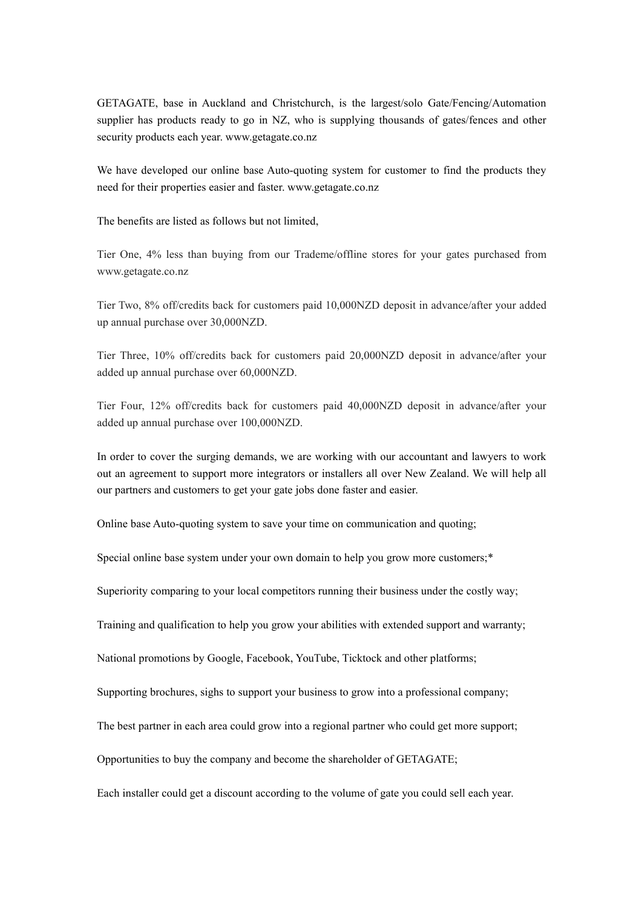GETAGATE, base in Auckland and Christchurch, is the largest/solo Gate/Fencing/Automation supplier has products ready to go in NZ, who is supplying thousands of gates/fences and other security products each year. www.getagate.co.nz

We have developed our online base Auto-quoting system for customer to find the products they need for their properties easier and faster. www.getagate.co.nz

The benefits are listed as follows but not limited,

Tier One, 4% less than buying from our Trademe/offline stores for your gates purchased from www.getagate.co.nz

Tier Two, 8% off/credits back for customers paid 10,000NZD deposit inadvance/after your added up annual purchase over 30,000NZD.

Tier Three, 10% off/credits back for customers paid 20,000NZD deposit in advance/after your added up annual purchase over 60,000NZD.

Tier Four, 12% off/credits back for customers paid 40,000NZD deposit in advance/after your added up annual purchase over 100,000NZD.

In order to cover the surging demands, we are working with our accountant and lawyers to work out an agreement to support more integrators or installers all over New Zealand. We will help all our partners and customers to get your gate jobs done faster and easier.

Online base Auto-quoting system to save your time on communication and quoting;

Special online base system under your own domain to help you grow more customers;\*

Superiority comparing to your local competitors running their business under the costly way;

Training and qualification to help you grow your abilities with extended support and warranty;

National promotions by Google, Facebook, YouTube, Ticktock and other platforms;

Supporting brochures, sighs to support your business to grow into a professional company;

The best partner in each area could grow into a regional partner who could get more support;

Opportunities to buy the company and become the shareholder of GETAGATE;

Each installer could get a discount according to the volume of gate you could sell each year.